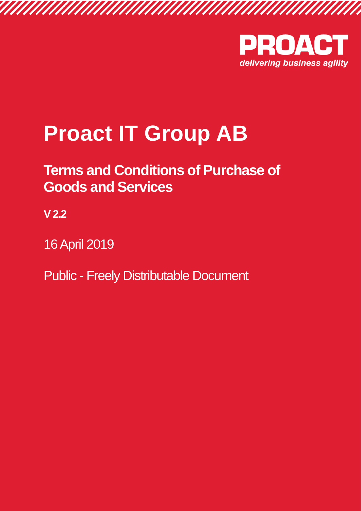

# **Proact IT Group AB**

## **Terms and Conditions of Purchase of Goods and Services**

**V 2.2**

16 April 2019

Public - Freely Distributable Document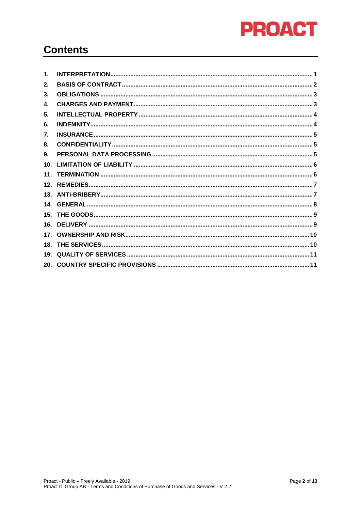

#### **Contents**

| $\mathbf 1$ .   |  |
|-----------------|--|
| 2.              |  |
| 3.              |  |
| 4.              |  |
| 5.              |  |
| 6.              |  |
| 7.              |  |
| 8.              |  |
| 9.              |  |
| 10 <sub>1</sub> |  |
|                 |  |
|                 |  |
|                 |  |
|                 |  |
|                 |  |
|                 |  |
|                 |  |
|                 |  |
|                 |  |
|                 |  |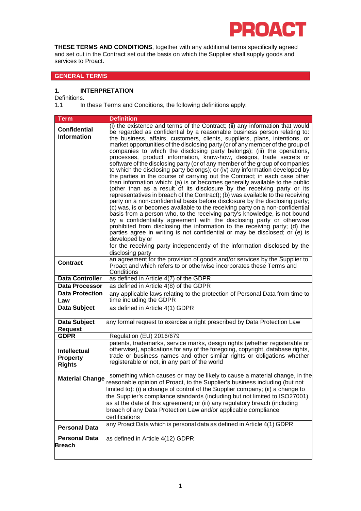

**THESE TERMS AND CONDITIONS**, together with any additional terms specifically agreed and set out in the Contract set out the basis on which the Supplier shall supply goods and services to Proact.

#### **GENERAL TERMS**

#### <span id="page-2-0"></span>**1. INTERPRETATION**

Definitions.<br>1.1 In

In these Terms and Conditions, the following definitions apply:

| <b>Term</b>                                             | <b>Definition</b>                                                                                                                                                                                                                                                                                                                                                                                                                                                                                                                                                                                                                                                                                                                                                                                                                                                                                                                                                                                                                                                                                                                                                                                                                                                                                                                                                                                                                                                                                                                                                             |
|---------------------------------------------------------|-------------------------------------------------------------------------------------------------------------------------------------------------------------------------------------------------------------------------------------------------------------------------------------------------------------------------------------------------------------------------------------------------------------------------------------------------------------------------------------------------------------------------------------------------------------------------------------------------------------------------------------------------------------------------------------------------------------------------------------------------------------------------------------------------------------------------------------------------------------------------------------------------------------------------------------------------------------------------------------------------------------------------------------------------------------------------------------------------------------------------------------------------------------------------------------------------------------------------------------------------------------------------------------------------------------------------------------------------------------------------------------------------------------------------------------------------------------------------------------------------------------------------------------------------------------------------------|
| <b>Confidential</b><br><b>Information</b>               | (i) the existence and terms of the Contract; (ii) any information that would<br>be regarded as confidential by a reasonable business person relating to:<br>the business, affairs, customers, clients, suppliers, plans, intentions, or<br>market opportunities of the disclosing party (or of any member of the group of<br>companies to which the disclosing party belongs); (iii) the operations,<br>processes, product information, know-how, designs, trade secrets or<br>software of the disclosing party (or of any member of the group of companies<br>to which the disclosing party belongs); or (iv) any information developed by<br>the parties in the course of carrying out the Contract; in each case other<br>than information which: (a) is or becomes generally available to the public<br>(other than as a result of its disclosure by the receiving party or its<br>representatives in breach of the Contract); (b) was available to the receiving<br>party on a non-confidential basis before disclosure by the disclosing party;<br>(c) was, is or becomes available to the receiving party on a non-confidential<br>basis from a person who, to the receiving party's knowledge, is not bound<br>by a confidentiality agreement with the disclosing party or otherwise<br>prohibited from disclosing the information to the receiving party; (d) the<br>parties agree in writing is not confidential or may be disclosed; or (e) is<br>developed by or<br>for the receiving party independently of the information disclosed by the<br>disclosing party |
| <b>Contract</b>                                         | an agreement for the provision of goods and/or services by the Supplier to<br>Proact and which refers to or otherwise incorporates these Terms and<br>Conditions                                                                                                                                                                                                                                                                                                                                                                                                                                                                                                                                                                                                                                                                                                                                                                                                                                                                                                                                                                                                                                                                                                                                                                                                                                                                                                                                                                                                              |
| <b>Data Controller</b>                                  | as defined in Article 4(7) of the GDPR                                                                                                                                                                                                                                                                                                                                                                                                                                                                                                                                                                                                                                                                                                                                                                                                                                                                                                                                                                                                                                                                                                                                                                                                                                                                                                                                                                                                                                                                                                                                        |
| <b>Data Processor</b>                                   | as defined in Article 4(8) of the GDPR                                                                                                                                                                                                                                                                                                                                                                                                                                                                                                                                                                                                                                                                                                                                                                                                                                                                                                                                                                                                                                                                                                                                                                                                                                                                                                                                                                                                                                                                                                                                        |
| <b>Data Protection</b><br>Law                           | any applicable laws relating to the protection of Personal Data from time to<br>time including the GDPR                                                                                                                                                                                                                                                                                                                                                                                                                                                                                                                                                                                                                                                                                                                                                                                                                                                                                                                                                                                                                                                                                                                                                                                                                                                                                                                                                                                                                                                                       |
| Data Subject                                            | as defined in Article 4(1) GDPR                                                                                                                                                                                                                                                                                                                                                                                                                                                                                                                                                                                                                                                                                                                                                                                                                                                                                                                                                                                                                                                                                                                                                                                                                                                                                                                                                                                                                                                                                                                                               |
| Data Subject<br><b>Request</b>                          | any formal request to exercise a right prescribed by Data Protection Law                                                                                                                                                                                                                                                                                                                                                                                                                                                                                                                                                                                                                                                                                                                                                                                                                                                                                                                                                                                                                                                                                                                                                                                                                                                                                                                                                                                                                                                                                                      |
| <b>GDPR</b>                                             | Regulation (EU) 2016/679                                                                                                                                                                                                                                                                                                                                                                                                                                                                                                                                                                                                                                                                                                                                                                                                                                                                                                                                                                                                                                                                                                                                                                                                                                                                                                                                                                                                                                                                                                                                                      |
| <b>Intellectual</b><br><b>Property</b><br><b>Rights</b> | patents, trademarks, service marks, design rights (whether registerable or<br>otherwise), applications for any of the foregoing, copyright, database rights,<br>trade or business names and other similar rights or obligations whether<br>registerable or not, in any part of the world                                                                                                                                                                                                                                                                                                                                                                                                                                                                                                                                                                                                                                                                                                                                                                                                                                                                                                                                                                                                                                                                                                                                                                                                                                                                                      |
| <b>Material Change</b>                                  | something which causes or may be likely to cause a material change, in the<br>reasonable opinion of Proact, to the Supplier's business including (but not<br>limited to): (i) a change of control of the Supplier company; (ii) a change to<br>the Supplier's compliance standards (including but not limited to ISO27001)<br>as at the date of this agreement; or (iii) any regulatory breach (including<br>breach of any Data Protection Law and/or applicable compliance<br>certifications                                                                                                                                                                                                                                                                                                                                                                                                                                                                                                                                                                                                                                                                                                                                                                                                                                                                                                                                                                                                                                                                                 |
| <b>Personal Data</b>                                    | any Proact Data which is personal data as defined in Article 4(1) GDPR                                                                                                                                                                                                                                                                                                                                                                                                                                                                                                                                                                                                                                                                                                                                                                                                                                                                                                                                                                                                                                                                                                                                                                                                                                                                                                                                                                                                                                                                                                        |
| <b>Personal Data</b><br><b>Breach</b>                   | as defined in Article 4(12) GDPR                                                                                                                                                                                                                                                                                                                                                                                                                                                                                                                                                                                                                                                                                                                                                                                                                                                                                                                                                                                                                                                                                                                                                                                                                                                                                                                                                                                                                                                                                                                                              |
|                                                         |                                                                                                                                                                                                                                                                                                                                                                                                                                                                                                                                                                                                                                                                                                                                                                                                                                                                                                                                                                                                                                                                                                                                                                                                                                                                                                                                                                                                                                                                                                                                                                               |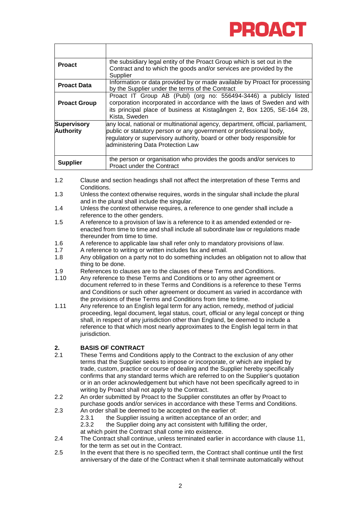

| <b>Proact</b>                          | the subsidiary legal entity of the Proact Group which is set out in the<br>Contract and to which the goods and/or services are provided by the<br>Supplier                                                                                                            |
|----------------------------------------|-----------------------------------------------------------------------------------------------------------------------------------------------------------------------------------------------------------------------------------------------------------------------|
| <b>Proact Data</b>                     | Information or data provided by or made available by Proact for processing<br>by the Supplier under the terms of the Contract                                                                                                                                         |
| <b>Proact Group</b>                    | Proact IT Group AB (Publ) (org no: 556494-3446) a publicly listed<br>corporation incorporated in accordance with the laws of Sweden and with<br>its principal place of business at Kistagången 2, Box 1205, SE-164 28,<br>Kista, Sweden                               |
| <b>Supervisory</b><br><b>Authority</b> | any local, national or multinational agency, department, official, parliament,<br>public or statutory person or any government or professional body,<br>regulatory or supervisory authority, board or other body responsible for<br>administering Data Protection Law |
| <b>Supplier</b>                        | the person or organisation who provides the goods and/or services to<br>Proact under the Contract                                                                                                                                                                     |

- 1.2 Clause and section headings shall not affect the interpretation of these Terms and Conditions.
- 1.3 Unless the context otherwise requires, words in the singular shall include the plural and in the plural shall include the singular.
- 1.4 Unless the context otherwise requires, a reference to one gender shall include a reference to the other genders.
- 1.5 A reference to a provision of law is a reference to it as amended extended or reenacted from time to time and shall include all subordinate law or regulations made thereunder from time to time.
- 1.6 A reference to applicable law shall refer only to mandatory provisions of law.<br>1.7 A reference to writing or written includes fax and email.
- 1.7 A reference to writing or written includes fax and email.<br>1.8 Any obligation on a party not to do something includes
- Any obligation on a party not to do something includes an obligation not to allow that thing to be done.
- 1.9 References to clauses are to the clauses of these Terms and Conditions.<br>1.10 Any reference to these Terms and Conditions or to any other agreement of
- Any reference to these Terms and Conditions or to any other agreement or document referred to in these Terms and Conditions is a reference to these Terms and Conditions or such other agreement or document as varied in accordance with the provisions of these Terms and Conditions from time to time.
- 1.11 Any reference to an English legal term for any action, remedy, method of judicial proceeding, legal document, legal status, court, official or any legal concept or thing shall, in respect of any jurisdiction other than England, be deemed to include a reference to that which most nearly approximates to the English legal term in that jurisdiction.

### <span id="page-3-0"></span>**2. BASIS OF CONTRACT**

- These Terms and Conditions apply to the Contract to the exclusion of any other terms that the Supplier seeks to impose or incorporate, or which are implied by trade, custom, practice or course of dealing and the Supplier hereby specifically confirms that any standard terms which are referred to on the Supplier's quotation or in an order acknowledgement but which have not been specifically agreed to in writing by Proact shall not apply to the Contract.
- 2.2 An order submitted by Proact to the Supplier constitutes an offer by Proact to purchase goods and/or services in accordance with these Terms and Conditions.
- 2.3 An order shall be deemed to be accepted on the earlier of:
	- 2.3.1 the Supplier issuing a written acceptance of an order; and 2.3.2 the Supplier doing any act consistent with fulfilling the order
	- the Supplier doing any act consistent with fulfilling the order,
	- at which point the Contract shall come into existence.
- <span id="page-3-1"></span>2.4 The Contract shall continue, unless terminated earlier in accordance with clause [11,](#page-7-2) for the term as set out in the Contract.
- 2.5 In the event that there is no specified term, the Contract shall continue until the first anniversary of the date of the Contract when it shall terminate automatically without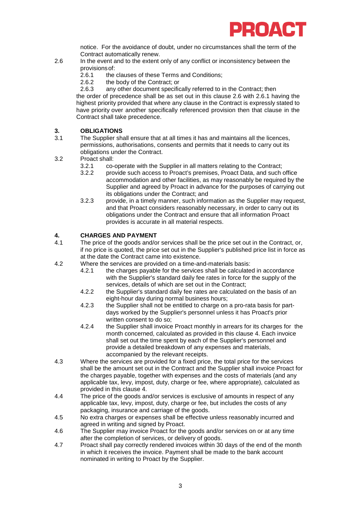

notice. For the avoidance of doubt, under no circumstances shall the term of the Contract automatically renew.

- <span id="page-4-2"></span>2.6 In the event and to the extent only of any conflict or inconsistency between the provisions of:<br>2.6.1 the
	- 2.6.1 the clauses of these Terms and Conditions;<br>2.6.2 the body of the Contract: or
	- 2.6.2 the body of the Contract; or<br>2.6.3 any other document specific

any other document specifically referred to in the Contract; then the order of precedence shall be as set out in this clause 2.6 with [2.6.1](#page-4-2) having the highest priority provided that where any clause in the Contract is expressly stated to have priority over another specifically referenced provision then that clause in the Contract shall take precedence.

### <span id="page-4-0"></span>**3. OBLIGATIONS**

- The Supplier shall ensure that at all times it has and maintains all the licences, permissions, authorisations, consents and permits that it needs to carry out its obligations under the Contract.
- 3.2 Proact shall:<br> $3.2 \t 3.21 \t 3.2$ 
	- 3.2.1 co-operate with the Supplier in all matters relating to the Contract;<br>3.2.2 provide such access to Proact's premises. Proact Data, and such
		- provide such access to Proact's premises, Proact Data, and such office accommodation and other facilities, as may reasonably be required by the Supplier and agreed by Proact in advance for the purposes of carrying out its obligations under the Contract; and
	- 3.2.3 provide, in a timely manner, such information as the Supplier may request, and that Proact considers reasonably necessary, in order to carry out its obligations under the Contract and ensure that all information Proact provides is accurate in all material respects.

#### <span id="page-4-3"></span><span id="page-4-1"></span>**4. CHARGES AND PAYMENT**

- The price of the goods and/or services shall be the price set out in the Contract, or, if no price is quoted, the price set out in the Supplier's published price list in force as at the date the Contract came into existence.
- 4.2 Where the services are provided on a time-and-materials basis:
	- 4.2.1 the charges payable for the services shall be calculated in accordance with the Supplier's standard daily fee rates in force for the supply of the services, details of which are set out in the Contract;
	- 4.2.2 the Supplier's standard daily fee rates are calculated on the basis of an eight-hour day during normal business hours;
	- 4.2.3 the Supplier shall not be entitled to charge on a pro-rata basis for partdays worked by the Supplier's personnel unless it has Proact's prior written consent to do so;
	- 4.2.4 the Supplier shall invoice Proact monthly in arrears for its charges for the month concerned, calculated as provided in this clause [4.](#page-4-3) Each invoice shall set out the time spent by each of the Supplier's personnel and provide a detailed breakdown of any expenses and materials, accompanied by the relevant receipts.
- 4.3 Where the services are provided for a fixed price, the total price for the services shall be the amount set out in the Contract and the Supplier shall invoice Proact for the charges payable, together with expenses and the costs of materials (and any applicable tax, levy, impost, duty, charge or fee, where appropriate), calculated as provided in this clause [4.](#page-4-3)
- 4.4 The price of the goods and/or services is exclusive of amounts in respect of any applicable tax, levy, impost, duty, charge or fee, but includes the costs of any packaging, insurance and carriage of the goods.
- 4.5 No extra charges or expenses shall be effective unless reasonably incurred and agreed in writing and signed by Proact.
- 4.6 The Supplier may invoice Proact for the goods and/or services on or at any time after the completion of services, or delivery of goods.
- 4.7 Proact shall pay correctly rendered invoices within 30 days of the end of the month in which it receives the invoice. Payment shall be made to the bank account nominated in writing to Proact by the Supplier.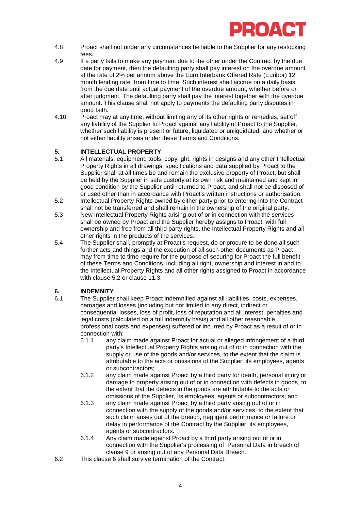

- 4.8 Proact shall not under any circumstances be liable to the Supplier for any restocking fees.
- 4.9 If a party fails to make any payment due to the other under the Contract by the due date for payment, then the defaulting party shall pay interest on the overdue amount at the rate of 2% per annum above the Euro Interbank Offered Rate (Euribor) 12 month lending rate from time to time. Such interest shall accrue on a daily basis from the due date until actual payment of the overdue amount, whether before or after judgment. The defaulting party shall pay the interest together with the overdue amount. This clause shall not apply to payments the defaulting party disputes in good faith.
- 4.10 Proact may at any time, without limiting any of its other rights or remedies, set off any liability of the Supplier to Proact against any liability of Proact to the Supplier, whether such liability is present or future, liquidated or unliquidated, and whether or not either liability arises under these Terms and Conditions.

### <span id="page-5-0"></span>**5. INTELLECTUAL PROPERTY**

- <span id="page-5-4"></span>All materials, equipment, tools, copyright, rights in designs and any other Intellectual Property Rights in all drawings, specifications and data supplied by Proact to the Supplier shall at all times be and remain the exclusive property of Proact, but shall be held by the Supplier in safe custody at its own risk and maintained and kept in good condition by the Supplier until returned to Proact, and shall not be disposed of or used other than in accordance with Proact's written instructions or authorisation.
- 5.2 Intellectual Property Rights owned by either party prior to entering into the Contract shall not be transferred and shall remain in the ownership of the original party.
- <span id="page-5-2"></span>5.3 New Intellectual Property Rights arising out of or in connection with the services shall be owned by Proact and the Supplier hereby assigns to Proact, with full ownership and free from all third party rights, the Intellectual Property Rights and all other rights in the products of the services.
- 5.4 The Supplier shall, promptly at Proact's request, do or procure to be done all such further acts and things and the execution of all such other documents as Proact may from time to time require for the purpose of securing for Proact the full benefit of these Terms and Conditions, including all right, ownership and interest in and to the Intellectual Property Rights and all other rights assigned to Proact in accordance with clause [5.2](#page-5-2) or clause [11.3.](#page-8-2)

### <span id="page-5-3"></span><span id="page-5-1"></span>**6. INDEMNITY**

- The Supplier shall keep Proact indemnified against all liabilities, costs, expenses, damages and losses (including but not limited to any direct, indirect or consequential losses, loss of profit, loss of reputation and all interest, penalties and legal costs (calculated on a full indemnity basis) and all other reasonable professional costs and expenses) suffered or incurred by Proact as a result of or in connection with:
	- 6.1.1 any claim made against Proact for actual or alleged infringement of a third party's Intellectual Property Rights arising out of or in connection with the supply or use of the goods and/or services, to the extent that the claim is attributable to the acts or omissions of the Supplier, its employees, agents or subcontractors;
	- 6.1.2 any claim made against Proact by a third party for death, personal injury or damage to property arising out of or in connection with defects in goods, to the extent that the defects in the goods are attributable to the acts or omissions of the Supplier, its employees, agents or subcontractors; and
	- 6.1.3 any claim made against Proact by a third party arising out of or in connection with the supply of the goods and/or services, to the extent that such claim arises out of the breach, negligent performance or failure or delay in performance of the Contract by the Supplier, its employees, agents or subcontractors.
	- 6.1.4 Any claim made against Proact by a third party arising out of or in connection with the Supplier's processing of Personal Data in breach of clause [9](#page-6-3) or arising out of any Personal Data Breach.
- 6.2 This clause [6](#page-5-3) shall survive termination of the Contract.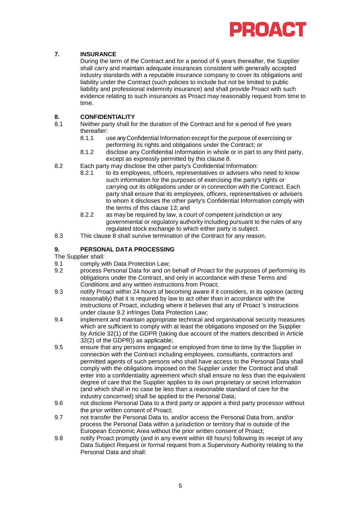

#### <span id="page-6-0"></span>**7. INSURANCE**

During the term of the Contract and for a period of 6 years thereafter, the Supplier shall carry and maintain adequate insurances consistent with generally accepted industry standards with a reputable insurance company to cover its obligations and liability under the Contract (such policies to include but not be limited to public liability and professional indemnity insurance) and shall provide Proact with such evidence relating to such insurances as Proact may reasonably request from time to time.

### <span id="page-6-4"></span><span id="page-6-1"></span>**8. CONFIDENTIALITY**

- Neither party shall for the duration of the Contract and for a period of five years thereafter:<br>8.1.1
	- use any Confidential Information except for the purpose of exercising or performing its rights and obligations under the Contract; or
	- 8.1.2 disclose any Confidential Information in whole or in part to any third party, except as expressly permitted by this clause 8.
- 8.2 Each party may disclose the other party's Confidential Information:<br>8.2.1 to its employees, officers, representatives or advisers whe
	- to its employees, officers, representatives or advisers who need to know such information for the purposes of exercising the party's rights or carrying out its obligations under or in connection with the Contract. Each party shall ensure that its employees, officers, representatives or advisers to whom it discloses the other party's Confidential Information comply with the terms of this clause 13; and
	- 8.2.2 as may be required by law, a court of competent jurisdiction or any governmental or regulatory authority including pursuant to the rules of any regulated stock exchange to which either party is subject.
- 8.3 This clause [8](#page-6-4) shall survive termination of the Contract for any reason.

#### <span id="page-6-3"></span><span id="page-6-2"></span>**9. PERSONAL DATA PROCESSING**

The Supplier shall:

- 9.1 comply with Data Protection Law;
- <span id="page-6-5"></span>9.2 process Personal Data for and on behalf of Proact for the purposes of performing its obligations under the Contract, and only in accordance with these Terms and Conditions and any written instructions from Proact;
- 9.3 notify Proact within 24 hours of becoming aware if it considers, in its opinion (acting reasonably) that it is required by law to act other than in accordance with the instructions of Proact, including where it believes that any of Proact 's instructions under clause [9.2](#page-6-5) infringes Data Protection Law;
- 9.4 implement and maintain appropriate technical and organisational security measures which are sufficient to comply with at least the obligations imposed on the Supplier by Article 32(1) of the GDPR (taking due account of the matters described in Article 32(2) of the GDPR)) as applicable;
- 9.5 ensure that any persons engaged or employed from time to time by the Supplier in connection with the Contract including employees, consultants, contractors and permitted agents of such persons who shall have access to the Personal Data shall comply with the obligations imposed on the Supplier under the Contract and shall enter into a confidentiality agreement which shall ensure no less than the equivalent degree of care that the Supplier applies to its own proprietary or secret information (and which shall in no case be less than a reasonable standard of care for the industry concerned) shall be applied to the Personal Data;
- 9.6 not disclose Personal Data to a third party or appoint a third party processor without the prior written consent of Proact;
- 9.7 not transfer the Personal Data to, and/or access the Personal Data from, and/or process the Personal Data within a jurisdiction or territory that is outside of the European Economic Area without the prior written consent of Proact;
- 9.8 notify Proact promptly (and in any event within 48 hours) following its receipt of any Data Subject Request or formal request from a Supervisory Authority relating to the Personal Data and shall: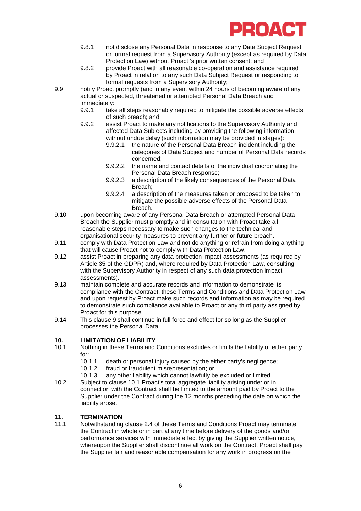

- 9.8.1 not disclose any Personal Data in response to any Data Subject Request or formal request from a Supervisory Authority (except as required by Data Protection Law) without Proact 's prior written consent; and
- 9.8.2 provide Proact with all reasonable co-operation and assistance required by Proact in relation to any such Data Subject Request or responding to formal requests from a Supervisory Authority;
- 9.9 notify Proact promptly (and in any event within 24 hours of becoming aware of any actual or suspected, threatened or attempted Personal Data Breach and immediately:<br>9.9.1 take
	- take all steps reasonably required to mitigate the possible adverse effects of such breach; and
	- 9.9.2 assist Proact to make any notifications to the Supervisory Authority and affected Data Subjects including by providing the following information without undue delay (such information may be provided in stages):<br>9.9.2.1 the nature of the Personal Data Breach incident including
		- 9.9.2.1 the nature of the Personal Data Breach incident including the categories of Data Subject and number of Personal Data records concerned;
		- 9.9.2.2 the name and contact details of the individual coordinating the Personal Data Breach response;
		- 9.9.2.3 a description of the likely consequences of the Personal Data Breach;
		- 9.9.2.4 a description of the measures taken or proposed to be taken to mitigate the possible adverse effects of the Personal Data Breach.
- 9.10 upon becoming aware of any Personal Data Breach or attempted Personal Data Breach the Supplier must promptly and in consultation with Proact take all reasonable steps necessary to make such changes to the technical and organisational security measures to prevent any further or future breach.
- 9.11 comply with Data Protection Law and not do anything or refrain from doing anything that will cause Proact not to comply with Data Protection Law.
- 9.12 assist Proact in preparing any data protection impact assessments (as required by Article 35 of the GDPR) and, where required by Data Protection Law, consulting with the Supervisory Authority in respect of any such data protection impact assessments).
- 9.13 maintain complete and accurate records and information to demonstrate its compliance with the Contract, these Terms and Conditions and Data Protection Law and upon request by Proact make such records and information as may be required to demonstrate such compliance available to Proact or any third party assigned by Proact for this purpose.
- 9.14 This clause [9](#page-6-3) shall continue in full force and effect for so long as the Supplier processes the Personal Data.

#### <span id="page-7-0"></span>**10. LIMITATION OF LIABILITY**

- <span id="page-7-3"></span>10.1 Nothing in these Terms and Conditions excludes or limits the liability of either party for:<br> $10.1.1$ 
	- 10.1.1 death or personal injury caused by the either party's negligence;<br>10.1.2 fraud or fraudulent misrepresentation: or
	- 10.1.2 fraud or fraudulent misrepresentation; or<br>10.1.3 any other liability which cannot lawfully be
	- any other liability which cannot lawfully be excluded or limited.
- 10.2 Subject to clause [10.1](#page-7-3) Proact's total aggregate liability arising under or in connection with the Contract shall be limited to the amount paid by Proact to the Supplier under the Contract during the 12 months preceding the date on which the liability arose.

### <span id="page-7-2"></span><span id="page-7-1"></span>**11. TERMINATION**

Notwithstanding clause [2.4](#page-3-1) of these Terms and Conditions Proact may terminate the Contract in whole or in part at any time before delivery of the goods and/or performance services with immediate effect by giving the Supplier written notice, whereupon the Supplier shall discontinue all work on the Contract. Proact shall pay the Supplier fair and reasonable compensation for any work in progress on the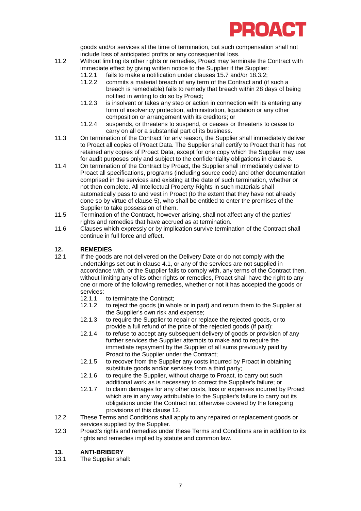<span id="page-8-2"></span>

goods and/or services at the time of termination, but such compensation shall not include loss of anticipated profits or any consequential loss.

- <span id="page-8-5"></span>11.2 Without limiting its other rights or remedies, Proact may terminate the Contract with immediate effect by giving written notice to the Supplier if the Supplier:
	- 11.2.1 fails to make a notification under clauses [15.7](#page-10-2) and/or [18.3.2;](#page-11-2)<br>11.2.2 commits a material breach of any term of the Contract and (if
	- commits a material breach of any term of the Contract and (if such a breach is remediable) fails to remedy that breach within 28 days of being notified in writing to do so by Proact;
	- 11.2.3 is insolvent or takes any step or action in connection with its entering any form of insolvency protection, administration, liquidation or any other composition or arrangement with its creditors; or
	- 11.2.4 suspends, or threatens to suspend, or ceases or threatens to cease to carry on all or a substantial part of its business.
- 11.3 On termination of the Contract for any reason, the Supplier shall immediately deliver to Proact all copies of Proact Data. The Supplier shall certify to Proact that it has not retained any copies of Proact Data, except for one copy which the Supplier may use for audit purposes only and subject to the confidentiality obligations in clause [8.](#page-6-4)
- 11.4 On termination of the Contract by Proact, the Supplier shall immediately deliver to Proact all specifications, programs (including source code) and other documentation comprised in the services and existing at the date of such termination, whether or not then complete. All Intellectual Property Rights in such materials shall automatically pass to and vest in Proact (to the extent that they have not already done so by virtue of clause [5\)](#page-5-4), who shall be entitled to enter the premises of the Supplier to take possession of them.
- 11.5 Termination of the Contract, however arising, shall not affect any of the parties' rights and remedies that have accrued as at termination.
- 11.6 Clauses which expressly or by implication survive termination of the Contract shall continue in full force and effect.

### <span id="page-8-3"></span><span id="page-8-0"></span>**12. REMEDIES**

- If the goods are not delivered on the Delivery Date or do not comply with the undertakings set out in clause 4.1, or any of the services are not supplied in accordance with, or the Supplier fails to comply with, any terms of the Contract then, without limiting any of its other rights or remedies, Proact shall have the right to any one or more of the following remedies, whether or not it has accepted the goods or services:<br>12.1.1
	- 12.1.1 to terminate the Contract;<br>12.1.2 to reject the goods (in who
	- to reject the goods (in whole or in part) and return them to the Supplier at the Supplier's own risk and expense;
	- 12.1.3 to require the Supplier to repair or replace the rejected goods, or to provide a full refund of the price of the rejected goods (if paid);
	- 12.1.4 to refuse to accept any subsequent delivery of goods or provision of any further services the Supplier attempts to make and to require the immediate repayment by the Supplier of all sums previously paid by Proact to the Supplier under the Contract;
	- 12.1.5 to recover from the Supplier any costs incurred by Proact in obtaining substitute goods and/or services from a third party;
	- 12.1.6 to require the Supplier, without charge to Proact, to carry out such additional work as is necessary to correct the Supplier's failure; or
	- 12.1.7 to claim damages for any other costs, loss or expenses incurred by Proact which are in any way attributable to the Supplier's failure to carry out its obligations under the Contract not otherwise covered by the foregoing provisions of this clause [12.](#page-8-3)
- 12.2 These Terms and Conditions shall apply to any repaired or replacement goods or services supplied by the Supplier.
- 12.3 Proact's rights and remedies under these Terms and Conditions are in addition to its rights and remedies implied by statute and common law.

#### <span id="page-8-4"></span><span id="page-8-1"></span>**13. ANTI-BRIBERY**

13.1 The Supplier shall: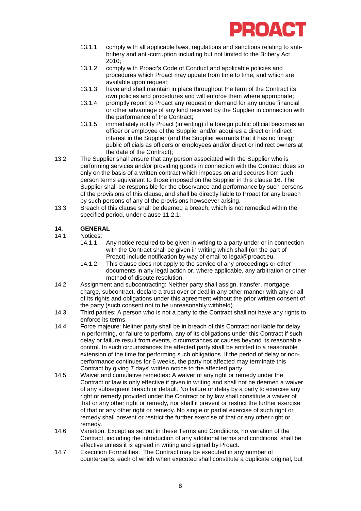

- 13.1.1 comply with all applicable laws, regulations and sanctions relating to antibribery and anti-corruption including but not limited to the Bribery Act 2010;
- 13.1.2 comply with Proact's Code of Conduct and applicable policies and procedures which Proact may update from time to time, and which are available upon request;
- 13.1.3 have and shall maintain in place throughout the term of the Contract its own policies and procedures and will enforce them where appropriate;
- 13.1.4 promptly report to Proact any request or demand for any undue financial or other advantage of any kind received by the Supplier in connection with the performance of the Contract;
- 13.1.5 immediately notify Proact (in writing) if a foreign public official becomes an officer or employee of the Supplier and/or acquires a direct or indirect interest in the Supplier (and the Supplier warrants that it has no foreign public officials as officers or employees and/or direct or indirect owners at the date of the Contract);
- 13.2 The Supplier shall ensure that any person associated with the Supplier who is performing services and/or providing goods in connection with the Contract does so only on the basis of a written contract which imposes on and secures from such person terms equivalent to those imposed on the Supplier in this clause [16.](#page-8-4) The Supplier shall be responsible for the observance and performance by such persons of the provisions of this clause, and shall be directly liable to Proact for any breach by such persons of any of the provisions howsoever arising.
- 13.3 Breach of this clause shall be deemed a breach, which is not remedied within the specified period, under clause [11.2.1.](#page-8-5)

### <span id="page-9-0"></span>**14. GENERAL**

- Notices:<br>14.1.1
	- Any notice required to be given in writing to a party under or in connection with the Contract shall be given in writing which shall (on the part of Proact) include notification by way of email to legal@proact.eu.
	- 14.1.2 This clause does not apply to the service of any proceedings or other documents in any legal action or, where applicable, any arbitration or other method of dispute resolution.
- 14.2 Assignment and subcontracting: Neither party shall assign, transfer, mortgage, charge, subcontract, declare a trust over or deal in any other manner with any or all of its rights and obligations under this agreement without the prior written consent of the party (such consent not to be unreasonably withheld).
- 14.3 Third parties: A person who is not a party to the Contract shall not have any rights to enforce its terms.
- 14.4 Force majeure: Neither party shall be in breach of this Contract nor liable for delay in performing, or failure to perform, any of its obligations under this Contract if such delay or failure result from events, circumstances or causes beyond its reasonable control. In such circumstances the affected party shall be entitled to a reasonable extension of the time for performing such obligations. If the period of delay or nonperformance continues for 6 weeks, the party not affected may terminate this Contract by giving 7 days' written notice to the affected party.
- 14.5 Waiver and cumulative remedies**:** A waiver of any right or remedy under the Contract or law is only effective if given in writing and shall not be deemed a waiver of any subsequent breach or default. No failure or delay by a party to exercise any right or remedy provided under the Contract or by law shall constitute a waiver of that or any other right or remedy, nor shall it prevent or restrict the further exercise of that or any other right or remedy. No single or partial exercise of such right or remedy shall prevent or restrict the further exercise of that or any other right or remedy.
- 14.6 Variation. Except as set out in these Terms and Conditions, no variation of the Contract, including the introduction of any additional terms and conditions, shall be effective unless it is agreed in writing and signed by Proact.
- 14.7 Execution Formalities: The Contract may be executed in any number of counterparts, each of which when executed shall constitute a duplicate original, but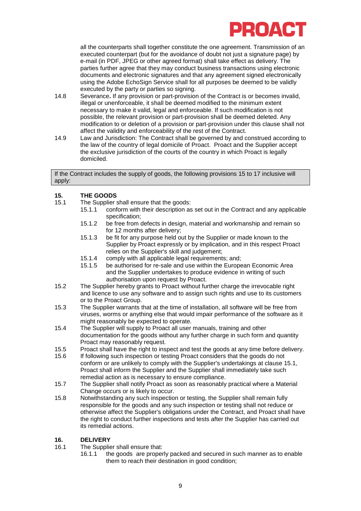

all the counterparts shall together constitute the one agreement. Transmission of an executed counterpart (but for the avoidance of doubt not just a signature page) by e-mail (in PDF, JPEG or other agreed format) shall take effect as delivery. The parties further agree that they may conduct business transactions using electronic documents and electronic signatures and that any agreement signed electronically using the Adobe EchoSign Service shall for all purposes be deemed to be validly executed by the party or parties so signing.

- 14.8 Severance**.** If any provision or part-provision of the Contract is or becomes invalid, illegal or unenforceable, it shall be deemed modified to the minimum extent necessary to make it valid, legal and enforceable. If such modification is not possible, the relevant provision or part-provision shall be deemed deleted. Any modification to or deletion of a provision or part-provision under this clause shall not affect the validity and enforceability of the rest of the Contract.
- 14.9 Law and Jurisdiction: The Contract shall be governed by and construed according to the law of the country of legal domicile of Proact. Proact and the Supplier accept the exclusive jurisdiction of the courts of the country in which Proact is legally domiciled.

If the Contract includes the supply of goods, the following provisions 15 to 17 inclusive will apply:

### <span id="page-10-0"></span>**15. THE GOODS**

- <span id="page-10-3"></span>The Supplier shall ensure that the goods:<br>15.1.1 conform with their description as
	- conform with their description as set out in the Contract and any applicable specification;
	- 15.1.2 be free from defects in design, material and workmanship and remain so for 12 months after delivery;
	- 15.1.3 be fit for any purpose held out by the Supplier or made known to the Supplier by Proact expressly or by implication, and in this respect Proact relies on the Supplier's skill and judgement;
	- 15.1.4 comply with all applicable legal requirements; and;
	- be authorised for re-sale and use within the European Economic Area and the Supplier undertakes to produce evidence in writing of such authorisation upon request by Proact.
- 15.2 The Supplier hereby grants to Proact without further charge the irrevocable right and licence to use any software and to assign such rights and use to its customers or to the Proact Group.
- 15.3 The Supplier warrants that at the time of installation, all software will be free from viruses, worms or anything else that would impair performance of the software as it might reasonably be expected to operate.
- 15.4 The Supplier will supply to Proact all user manuals, training and other documentation for the goods without any further charge in such form and quantity Proact may reasonably request.
- 15.5 Proact shall have the right to inspect and test the goods at any time before delivery.<br>15.6 If following such inspection or testing Proact considers that the goods do not
- 15.6 If following such inspection or testing Proact considers that the goods do not conform or are unlikely to comply with the Supplier's undertakings at clause [15.1,](#page-10-3) Proact shall inform the Supplier and the Supplier shall immediately take such remedial action as is necessary to ensure compliance.
- <span id="page-10-2"></span>15.7 The Supplier shall notify Proact as soon as reasonably practical where a Material Change occurs or is likely to occur.
- 15.8 Notwithstanding any such inspection or testing, the Supplier shall remain fully responsible for the goods and any such inspection or testing shall not reduce or otherwise affect the Supplier's obligations under the Contract, and Proact shall have the right to conduct further inspections and tests after the Supplier has carried out its remedial actions.

#### <span id="page-10-1"></span>**16. DELIVERY**

16.1 The Supplier shall ensure that:<br>16.1.1 the goods are proper

the goods are properly packed and secured in such manner as to enable them to reach their destination in good condition;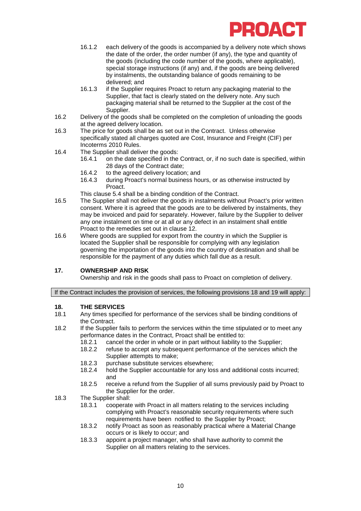

- 16.1.2 each delivery of the goods is accompanied by a delivery note which shows the date of the order, the order number (if any), the type and quantity of the goods (including the code number of the goods, where applicable), special storage instructions (if any) and, if the goods are being delivered by instalments, the outstanding balance of goods remaining to be delivered; and
- 16.1.3 if the Supplier requires Proact to return any packaging material to the Supplier, that fact is clearly stated on the delivery note. Any such packaging material shall be returned to the Supplier at the cost of the Supplier.
- 16.2 Delivery of the goods shall be completed on the completion of unloading the goods at the agreed delivery location.
- 16.3 The price for goods shall be as set out in the Contract. Unless otherwise specifically stated all charges quoted are Cost, Insurance and Freight (CIF) per Incoterms 2010 Rules.
- 16.4 The Supplier shall deliver the goods:<br>16.4.1 on the date specified in the
	- on the date specified in the Contract, or, if no such date is specified, within 28 days of the Contract date;
	- 16.4.2 to the agreed delivery location; and<br>16.4.3 during Proact's normal business ho
	- during Proact's normal business hours, or as otherwise instructed by Proact.
	- This clause 5.4 shall be a binding condition of the Contract.
- 16.5 The Supplier shall not deliver the goods in instalments without Proact's prior written consent. Where it is agreed that the goods are to be delivered by instalments, they may be invoiced and paid for separately. However, failure by the Supplier to deliver any one instalment on time or at all or any defect in an instalment shall entitle Proact to the remedies set out in clause [12.](#page-8-3)
- 16.6 Where goods are supplied for export from the country in which the Supplier is located the Supplier shall be responsible for complying with any legislation governing the importation of the goods into the country of destination and shall be responsible for the payment of any duties which fall due as a result.

#### <span id="page-11-0"></span>**17. OWNERSHIP AND RISK**

Ownership and risk in the goods shall pass to Proact on completion of delivery.

#### If the Contract includes the provision of services, the following provisions 18 and 19 will apply:

### <span id="page-11-1"></span>**18. THE SERVICES**

- Any times specified for performance of the services shall be binding conditions of the Contract.
- 18.2 If the Supplier fails to perform the services within the time stipulated or to meet any performance dates in the Contract, Proact shall be entitled to:
	-
	- 18.2.1 cancel the order in whole or in part without liability to the Supplier;<br>18.2.2 refuse to accept any subsequent performance of the services whic refuse to accept any subsequent performance of the services which the Supplier attempts to make;
	- 18.2.3 purchase substitute services elsewhere;<br>18.2.4 hold the Supplier accountable for any los
	- hold the Supplier accountable for any loss and additional costs incurred; and
	- 18.2.5 receive a refund from the Supplier of all sums previously paid by Proact to the Supplier for the order.
- <span id="page-11-2"></span>18.3 The Supplier shall:
	- 18.3.1 cooperate with Proact in all matters relating to the services including complying with Proact's reasonable security requirements where such requirements have been notified to the Supplier by Proact;
	- 18.3.2 notify Proact as soon as reasonably practical where a Material Change occurs or is likely to occur; and
	- 18.3.3 appoint a project manager, who shall have authority to commit the Supplier on all matters relating to the services.